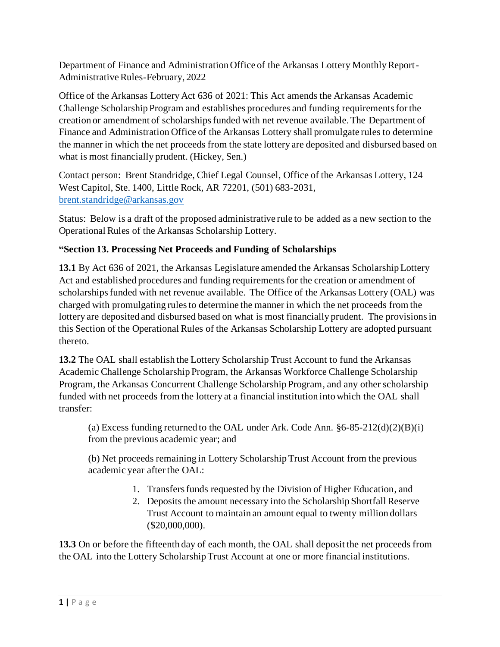Department of Finance and Administration Office of the Arkansas Lottery Monthly Report-Administrative Rules-February, 2022

Office of the Arkansas Lottery Act 636 of 2021: This Act amends the Arkansas Academic Challenge Scholarship Program and establishes procedures and funding requirements for the creation or amendment of scholarships funded with net revenue available. The Department of Finance and Administration Office of the Arkansas Lottery shall promulgate rules to determine the manner in which the net proceeds from the state lottery are deposited and disbursed based on what is most financially prudent. (Hickey, Sen.)

Contact person: Brent Standridge, Chief Legal Counsel, Office of the Arkansas Lottery, 124 West Capitol, Ste. 1400, Little Rock, AR 72201, (501) 683-2031, [brent.standridge@arkansas.gov](mailto:brent.standridge@arkansas.gov)

Status: Below is a draft of the proposed administrative rule to be added as a new section to the Operational Rules of the Arkansas Scholarship Lottery.

## **"Section 13. Processing Net Proceeds and Funding of Scholarships**

**13.1** By Act 636 of 2021, the Arkansas Legislature amended the Arkansas Scholarship Lottery Act and established procedures and funding requirements for the creation or amendment of scholarships funded with net revenue available. The Office of the Arkansas Lottery (OAL) was charged with promulgating rules to determine the manner in which the net proceeds from the lottery are deposited and disbursed based on what is most financially prudent. The provisions in this Section of the Operational Rules of the Arkansas Scholarship Lottery are adopted pursuant thereto.

**13.2** The OAL shall establish the Lottery Scholarship Trust Account to fund the Arkansas Academic Challenge Scholarship Program, the Arkansas Workforce Challenge Scholarship Program, the Arkansas Concurrent Challenge Scholarship Program, and any other scholarship funded with net proceeds from the lottery at a financial institution into which the OAL shall transfer:

(a) Excess funding returned to the OAL under Ark. Code Ann.  $\S 6-85-212(d)(2)(B)(i)$ from the previous academic year; and

(b) Net proceeds remaining in Lottery Scholarship Trust Account from the previous academic year after the OAL:

- 1. Transfers funds requested by the Division of Higher Education, and
- 2. Deposits the amount necessary into the Scholarship Shortfall Reserve Trust Account to maintain an amount equal to twenty million dollars (\$20,000,000).

**13.3** On or before the fifteenth day of each month, the OAL shall deposit the net proceeds from the OAL into the Lottery Scholarship Trust Account at one or more financial institutions.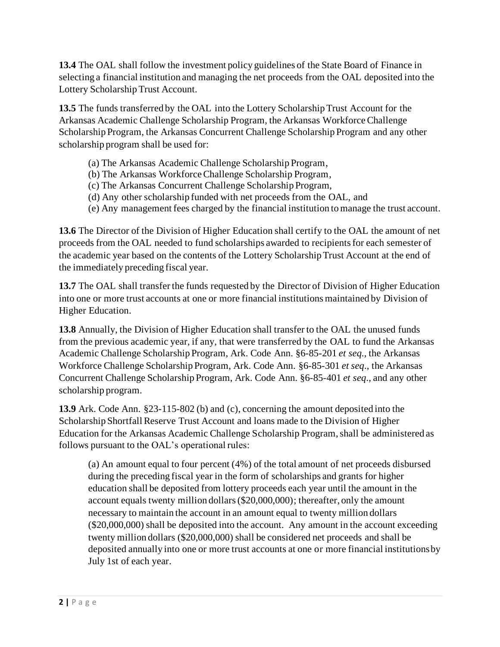**13.4** The OAL shall follow the investment policy guidelines of the State Board of Finance in selecting a financial institution and managing the net proceeds from the OAL deposited into the Lottery Scholarship Trust Account.

**13.5** The funds transferred by the OAL into the Lottery Scholarship Trust Account for the Arkansas Academic Challenge Scholarship Program, the Arkansas Workforce Challenge Scholarship Program, the Arkansas Concurrent Challenge Scholarship Program and any other scholarship program shall be used for:

- (a) The Arkansas Academic Challenge Scholarship Program,
- (b) The Arkansas Workforce Challenge Scholarship Program,
- (c) The Arkansas Concurrent Challenge Scholarship Program,
- (d) Any other scholarship funded with net proceeds from the OAL, and
- (e) Any management fees charged by the financial institution to manage the trust account.

**13.6** The Director of the Division of Higher Education shall certify to the OAL the amount of net proceeds from the OAL needed to fund scholarships awarded to recipients for each semester of the academic year based on the contents of the Lottery Scholarship Trust Account at the end of the immediately preceding fiscal year.

**13.7** The OAL shall transfer the funds requested by the Director of Division of Higher Education into one or more trust accounts at one or more financial institutions maintained by Division of Higher Education.

**13.8** Annually, the Division of Higher Education shall transfer to the OAL the unused funds from the previous academic year, if any, that were transferred by the OAL to fund the Arkansas Academic Challenge Scholarship Program, Ark. Code Ann. §6-85-201 *et seq.,* the Arkansas Workforce Challenge Scholarship Program, Ark. Code Ann. §6-85-301 *et seq*., the Arkansas Concurrent Challenge Scholarship Program, Ark. Code Ann. §6-85-401 *et seq*., and any other scholarship program.

**13.9** Ark. Code Ann. §23-115-802 (b) and (c), concerning the amount deposited into the Scholarship Shortfall Reserve Trust Account and loans made to the Division of Higher Education for the Arkansas Academic Challenge Scholarship Program, shall be administered as follows pursuant to the OAL's operational rules:

(a) An amount equal to four percent (4%) of the total amount of net proceeds disbursed during the preceding fiscal year in the form of scholarships and grants for higher education shall be deposited from lottery proceeds each year until the amount in the account equals twenty million dollars (\$20,000,000); thereafter, only the amount necessary to maintain the account in an amount equal to twenty million dollars (\$20,000,000) shall be deposited into the account. Any amount in the account exceeding twenty million dollars (\$20,000,000) shall be considered net proceeds and shall be deposited annually into one or more trust accounts at one or more financial institutions by July 1st of each year.